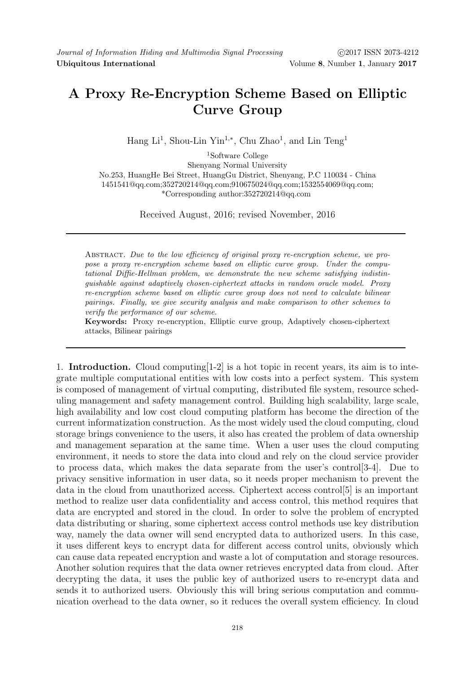# A Proxy Re-Encryption Scheme Based on Elliptic Curve Group

Hang Li<sup>1</sup>, Shou-Lin Yin<sup>1,\*</sup>, Chu Zhao<sup>1</sup>, and Lin Teng<sup>1</sup>

<sup>1</sup>Software College Shenyang Normal University No.253, HuangHe Bei Street, HuangGu District, Shenyang, P.C 110034 - China 1451541@qq.com;352720214@qq.com;910675024@qq.com;1532554069@qq.com; \*Corresponding author:352720214@qq.com

Received August, 2016; revised November, 2016

Abstract. Due to the low efficiency of original proxy re-encryption scheme, we propose a proxy re-encryption scheme based on elliptic curve group. Under the computational Diffie-Hellman problem, we demonstrate the new scheme satisfying indistinguishable against adaptively chosen-ciphertext attacks in random oracle model. Proxy re-encryption scheme based on elliptic curve group does not need to calculate bilinear pairings. Finally, we give security analysis and make comparison to other schemes to verify the performance of our scheme.

Keywords: Proxy re-encryption, Elliptic curve group, Adaptively chosen-ciphertext attacks, Bilinear pairings

1. Introduction. Cloud computing[1-2] is a hot topic in recent years, its aim is to integrate multiple computational entities with low costs into a perfect system. This system is composed of management of virtual computing, distributed file system, resource scheduling management and safety management control. Building high scalability, large scale, high availability and low cost cloud computing platform has become the direction of the current informatization construction. As the most widely used the cloud computing, cloud storage brings convenience to the users, it also has created the problem of data ownership and management separation at the same time. When a user uses the cloud computing environment, it needs to store the data into cloud and rely on the cloud service provider to process data, which makes the data separate from the user's control[3-4]. Due to privacy sensitive information in user data, so it needs proper mechanism to prevent the data in the cloud from unauthorized access. Ciphertext access control[5] is an important method to realize user data confidentiality and access control, this method requires that data are encrypted and stored in the cloud. In order to solve the problem of encrypted data distributing or sharing, some ciphertext access control methods use key distribution way, namely the data owner will send encrypted data to authorized users. In this case, it uses different keys to encrypt data for different access control units, obviously which can cause data repeated encryption and waste a lot of computation and storage resources. Another solution requires that the data owner retrieves encrypted data from cloud. After decrypting the data, it uses the public key of authorized users to re-encrypt data and sends it to authorized users. Obviously this will bring serious computation and communication overhead to the data owner, so it reduces the overall system efficiency. In cloud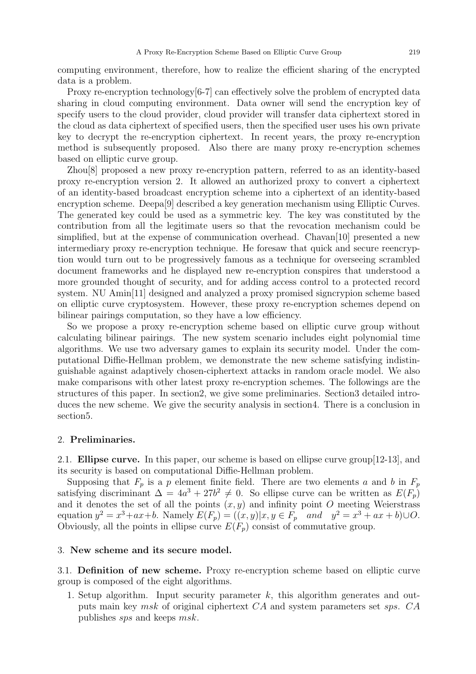computing environment, therefore, how to realize the efficient sharing of the encrypted data is a problem.

Proxy re-encryption technology[6-7] can effectively solve the problem of encrypted data sharing in cloud computing environment. Data owner will send the encryption key of specify users to the cloud provider, cloud provider will transfer data ciphertext stored in the cloud as data ciphertext of specified users, then the specified user uses his own private key to decrypt the re-encryption ciphertext. In recent years, the proxy re-encryption method is subsequently proposed. Also there are many proxy re-encryption schemes based on elliptic curve group.

Zhou[8] proposed a new proxy re-encryption pattern, referred to as an identity-based proxy re-encryption version 2. It allowed an authorized proxy to convert a ciphertext of an identity-based broadcast encryption scheme into a ciphertext of an identity-based encryption scheme. Deepa[9] described a key generation mechanism using Elliptic Curves. The generated key could be used as a symmetric key. The key was constituted by the contribution from all the legitimate users so that the revocation mechanism could be simplified, but at the expense of communication overhead. Chavan[10] presented a new intermediary proxy re-encryption technique. He foresaw that quick and secure reencryption would turn out to be progressively famous as a technique for overseeing scrambled document frameworks and he displayed new re-encryption conspires that understood a more grounded thought of security, and for adding access control to a protected record system. NU Amin[11] designed and analyzed a proxy promised signcrypion scheme based on elliptic curve cryptosystem. However, these proxy re-encryption schemes depend on bilinear pairings computation, so they have a low efficiency.

So we propose a proxy re-encryption scheme based on elliptic curve group without calculating bilinear pairings. The new system scenario includes eight polynomial time algorithms. We use two adversary games to explain its security model. Under the computational Diffie-Hellman problem, we demonstrate the new scheme satisfying indistinguishable against adaptively chosen-ciphertext attacks in random oracle model. We also make comparisons with other latest proxy re-encryption schemes. The followings are the structures of this paper. In section2, we give some preliminaries. Section3 detailed introduces the new scheme. We give the security analysis in section4. There is a conclusion in section5.

## 2. Preliminaries.

2.1. Ellipse curve. In this paper, our scheme is based on ellipse curve group[12-13], and its security is based on computational Diffie-Hellman problem.

Supposing that  $F_p$  is a p element finite field. There are two elements a and b in  $F_p$ satisfying discriminant  $\Delta = 4a^3 + 27b^2 \neq 0$ . So ellipse curve can be written as  $E(F_p)$ and it denotes the set of all the points  $(x, y)$  and infinity point O meeting Weierstrass equation  $y^2 = x^3 + ax + b$ . Namely  $E(F_p) = ((x, y)|x, y \in F_p$  and  $y^2 = x^3 + ax + b) \cup O$ . Obviously, all the points in ellipse curve  $E(F_p)$  consist of commutative group.

## 3. New scheme and its secure model.

3.1. Definition of new scheme. Proxy re-encryption scheme based on elliptic curve group is composed of the eight algorithms.

1. Setup algorithm. Input security parameter  $k$ , this algorithm generates and outputs main key msk of original ciphertext CA and system parameters set sps. CA publishes sps and keeps msk.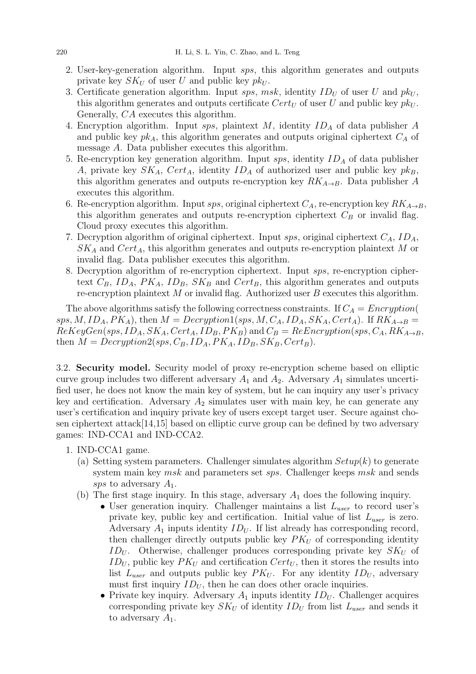- 2. User-key-generation algorithm. Input sps, this algorithm generates and outputs private key  $SK_U$  of user U and public key  $pk_U$ .
- 3. Certificate generation algorithm. Input sps, msk, identity  $ID_U$  of user U and  $pk_U$ , this algorithm generates and outputs certificate  $Cert_U$  of user U and public key  $pk_U$ . Generally, CA executes this algorithm.
- 4. Encryption algorithm. Input sps, plaintext  $M$ , identity  $ID<sub>A</sub>$  of data publisher  $A$ and public key  $pk<sub>A</sub>$ , this algorithm generates and outputs original ciphertext  $C<sub>A</sub>$  of message A. Data publisher executes this algorithm.
- 5. Re-encryption key generation algorithm. Input  $sps$ , identity  $ID<sub>A</sub>$  of data publisher A, private key  $SK_A$ ,  $Cert_A$ , identity  $ID_A$  of authorized user and public key  $pk_B$ , this algorithm generates and outputs re-encryption key  $RK_{A\rightarrow B}$ . Data publisher A executes this algorithm.
- 6. Re-encryption algorithm. Input sps, original ciphertext  $C_A$ , re-encryption key  $RK_{A\rightarrow B}$ , this algorithm generates and outputs re-encryption ciphertext  $C_B$  or invalid flag. Cloud proxy executes this algorithm.
- 7. Decryption algorithm of original ciphertext. Input sps, original ciphertext  $C_A$ ,  $ID_A$ ,  $SK_A$  and  $Cert_A$ , this algorithm generates and outputs re-encryption plaintext M or invalid flag. Data publisher executes this algorithm.
- 8. Decryption algorithm of re-encryption ciphertext. Input sps, re-encryption ciphertext  $C_B$ ,  $ID_A$ ,  $PK_A$ ,  $ID_B$ ,  $SK_B$  and  $Cert_B$ , this algorithm generates and outputs re-encryption plaintext  $M$  or invalid flag. Authorized user  $B$  executes this algorithm.

The above algorithms satisfy the following correctness constraints. If  $C_A = Encryption($ sps, M, ID<sub>A</sub>, PK<sub>A</sub>), then  $M = Decryption1(sys, M, C_A, ID_A, SK_A, Cert_A)$ . If  $RK_{A\rightarrow B}$  $ReKeyGen(sps, ID_A, SK_A, Cert_A, ID_B, PK_B)$  and  $C_B = ReEncryption(sps, C_A, RK_{A\rightarrow B},$ then  $M = Decryption2(sys, C_B, ID_A, PK_A, ID_B, SK_B, Cert_B).$ 

3.2. Security model. Security model of proxy re-encryption scheme based on elliptic curve group includes two different adversary  $A_1$  and  $A_2$ . Adversary  $A_1$  simulates uncertified user, he does not know the main key of system, but he can inquiry any user's privacy key and certification. Adversary  $A_2$  simulates user with main key, he can generate any user's certification and inquiry private key of users except target user. Secure against chosen ciphertext attack[14,15] based on elliptic curve group can be defined by two adversary games: IND-CCA1 and IND-CCA2.

- 1. IND-CCA1 game.
	- (a) Setting system parameters. Challenger simulates algorithm  $Setup(k)$  to generate system main key *msk* and parameters set *sps*. Challenger keeps *msk* and sends sps to adversary  $A_1$ .
	- (b) The first stage inquiry. In this stage, adversary  $A_1$  does the following inquiry.
		- User generation inquiry. Challenger maintains a list  $L_{user}$  to record user's private key, public key and certification. Initial value of list  $L_{user}$  is zero. Adversary  $A_1$  inputs identity  $ID_U$ . If list already has corresponding record, then challenger directly outputs public key  $PK_U$  of corresponding identity  $ID_U$ . Otherwise, challenger produces corresponding private key  $SK_U$  of  $ID_U$ , public key  $PK_U$  and certification  $Cert_U$ , then it stores the results into list  $L_{user}$  and outputs public key  $PK_U$ . For any identity  $ID_U$ , adversary must first inquiry  $ID_U$ , then he can does other oracle inquiries.
		- Private key inquiry. Adversary  $A_1$  inputs identity  $ID_U$ . Challenger acquires corresponding private key  $SK_U$  of identity  $ID_U$  from list  $L_{user}$  and sends it to adversary  $A_1$ .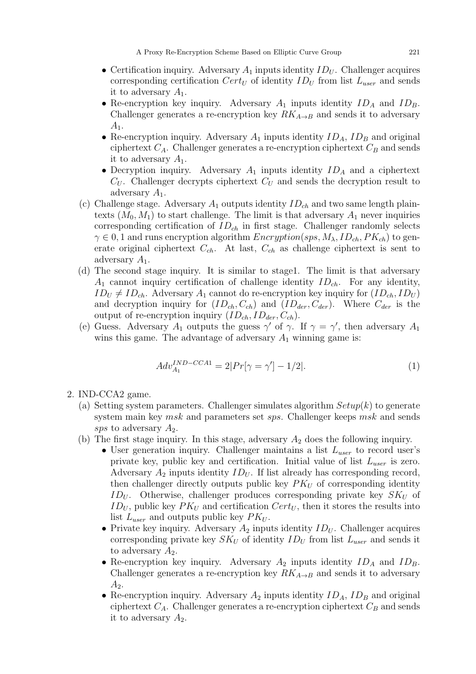- Certification inquiry. Adversary  $A_1$  inputs identity  $ID_U$ . Challenger acquires corresponding certification  $Cert_U$  of identity  $ID_U$  from list  $L_{user}$  and sends it to adversary  $A_1$ .
- Re-encryption key inquiry. Adversary  $A_1$  inputs identity  $ID_A$  and  $ID_B$ . Challenger generates a re-encryption key  $RK_{A\rightarrow B}$  and sends it to adversary  $A_1$ .
- Re-encryption inquiry. Adversary  $A_1$  inputs identity  $ID_A$ ,  $ID_B$  and original ciphertext  $C_A$ . Challenger generates a re-encryption ciphertext  $C_B$  and sends it to adversary  $A_1$ .
- Decryption inquiry. Adversary  $A_1$  inputs identity  $ID_A$  and a ciphertext  $C_U$ . Challenger decrypts ciphertext  $C_U$  and sends the decryption result to adversary  $A_1$ .
- (c) Challenge stage. Adversary  $A_1$  outputs identity  $ID_{ch}$  and two same length plaintexts  $(M_0, M_1)$  to start challenge. The limit is that adversary  $A_1$  never inquiries corresponding certification of  $ID_{ch}$  in first stage. Challenger randomly selects  $\gamma \in 0, 1$  and runs encryption algorithm  $Encryption(sps, M_{\lambda}, ID_{ch}, PK_{ch})$  to generate original ciphertext  $C_{ch}$ . At last,  $C_{ch}$  as challenge ciphertext is sent to adversary  $A_1$ .
- (d) The second stage inquiry. It is similar to stage1. The limit is that adversary  $A_1$  cannot inquiry certification of challenge identity  $ID_{ch}$ . For any identity,  $ID_U \neq ID_{ch}$ . Adversary  $A_1$  cannot do re-encryption key inquiry for  $(ID_{ch}, ID_U)$ and decryption inquiry for  $(ID_{ch}, C_{ch})$  and  $(ID_{der}, C_{der})$ . Where  $C_{der}$  is the output of re-encryption inquiry  $(ID_{ch}, ID_{der}, C_{ch}).$
- (e) Guess. Adversary  $A_1$  outputs the guess  $\gamma'$  of  $\gamma$ . If  $\gamma = \gamma'$ , then adversary  $A_1$ wins this game. The advantage of adversary  $A_1$  winning game is:

$$
Adv_{A_1}^{IND-CCA1} = 2|Pr[\gamma = \gamma'] - 1/2].
$$
\n(1)

- 2. IND-CCA2 game.
	- (a) Setting system parameters. Challenger simulates algorithm  $Setup(k)$  to generate system main key *msk* and parameters set *sps*. Challenger keeps *msk* and sends sps to adversary  $A_2$ .
	- (b) The first stage inquiry. In this stage, adversary  $A_2$  does the following inquiry.
		- User generation inquiry. Challenger maintains a list  $L_{user}$  to record user's private key, public key and certification. Initial value of list  $L_{user}$  is zero. Adversary  $A_2$  inputs identity  $ID_U$ . If list already has corresponding record, then challenger directly outputs public key  $PK_U$  of corresponding identity  $ID_U$ . Otherwise, challenger produces corresponding private key  $SK_U$  of  $ID_U$ , public key  $PK_U$  and certification  $Cert_U$ , then it stores the results into list  $L_{user}$  and outputs public key  $PK_U$ .
		- Private key inquiry. Adversary  $A_2$  inputs identity  $ID_U$ . Challenger acquires corresponding private key  $SK_U$  of identity  $ID_U$  from list  $L_{user}$  and sends it to adversary  $A_2$ .
		- Re-encryption key inquiry. Adversary  $A_2$  inputs identity  $ID_A$  and  $ID_B$ . Challenger generates a re-encryption key  $RK_{A\rightarrow B}$  and sends it to adversary  $A_2$ .
		- Re-encryption inquiry. Adversary  $A_2$  inputs identity  $ID_A$ ,  $ID_B$  and original ciphertext  $C_A$ . Challenger generates a re-encryption ciphertext  $C_B$  and sends it to adversary  $A_2$ .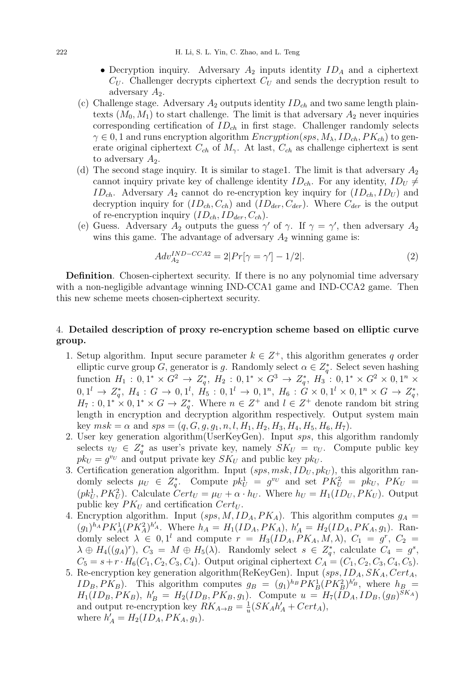- Decryption inquiry. Adversary  $A_2$  inputs identity  $ID_A$  and a ciphertext  $C_U$ . Challenger decrypts ciphertext  $C_U$  and sends the decryption result to adversary  $A_2$ .
- (c) Challenge stage. Adversary  $A_2$  outputs identity  $ID_{ch}$  and two same length plaintexts  $(M_0, M_1)$  to start challenge. The limit is that adversary  $A_2$  never inquiries corresponding certification of  $ID_{ch}$  in first stage. Challenger randomly selects  $\gamma \in 0, 1$  and runs encryption algorithm  $Encryption(sps, M_\lambda, ID_{ch}, PK_{ch})$  to generate original ciphertext  $C_{ch}$  of  $M_{\gamma}$ . At last,  $C_{ch}$  as challenge ciphertext is sent to adversary  $A_2$ .
- (d) The second stage inquiry. It is similar to stage1. The limit is that adversary  $A_2$ cannot inquiry private key of challenge identity  $ID_{ch}$ . For any identity,  $ID_U \neq$  $ID_{ch}$ . Adversary  $A_2$  cannot do re-encryption key inquiry for  $(ID_{ch}, ID_U)$  and decryption inquiry for  $(ID_{ch}, C_{ch})$  and  $(ID_{der}, C_{der})$ . Where  $C_{der}$  is the output of re-encryption inquiry  $(ID_{ch}, ID_{der}, C_{ch}).$
- (e) Guess. Adversary  $A_2$  outputs the guess  $\gamma'$  of  $\gamma$ . If  $\gamma = \gamma'$ , then adversary  $A_2$ wins this game. The advantage of adversary  $A_2$  winning game is:

$$
Adv_{A_2}^{IND-CCA2} = 2|Pr[\gamma = \gamma'] - 1/2].
$$
 (2)

Definition. Chosen-ciphertext security. If there is no any polynomial time adversary with a non-negligible advantage winning IND-CCA1 game and IND-CCA2 game. Then this new scheme meets chosen-ciphertext security.

## 4. Detailed description of proxy re-encryption scheme based on elliptic curve group.

- 1. Setup algorithm. Input secure parameter  $k \in \mathbb{Z}^+$ , this algorithm generates q order elliptic curve group G, generator is g. Randomly select  $\alpha \in Z_q^*$ . Select seven hashing function  $H_1: 0, 1^* \times G^2 \to Z_q^*, H_2: 0, 1^* \times G^3 \to Z_q^*, H_3: 0, 1^* \times G^2 \times 0, 1^n \times G^2$  $0, 1^l \rightarrow Z_q^*, H_4: G \rightarrow 0, 1^l, H_5: 0, 1^l \rightarrow 0, 1^n, H_6: G \times 0, 1^l \times 0, 1^n \times G \rightarrow Z_q^*,$  $H_7: 0, 1^* \times 0, 1^* \times G \to Z_q^*$ . Where  $n \in Z^+$  and  $l \in Z^+$  denote random bit string length in encryption and decryption algorithm respectively. Output system main key  $msk = \alpha$  and  $sps = (q, G, g, g_1, n, l, H_1, H_2, H_3, H_4, H_5, H_6, H_7).$
- 2. User key generation algorithm(UserKeyGen). Input sps, this algorithm randomly selects  $v_U \in Z_q^*$  as user's private key, namely  $SK_U = v_U$ . Compute public key  $pk_U = g^{v_U}$  and output private key  $SK_U$  and public key  $pk_U$ .
- 3. Certification generation algorithm. Input  $(sps, msk, ID_U, pk_U)$ , this algorithm randomly selects  $\mu_U \in Z_q^*$ . Compute  $pk_U^1 = g^{v_U}$  and set  $PK_U^2 = pk_U$ ,  $PK_U =$  $(pk_U^1, PK_U^2)$ . Calculate  $Cert_U = \mu_U + \alpha \cdot h_U$ . Where  $h_U = H_1(ID_U, PK_U)$ . Output public key  $PK_U$  and certification  $Cert_U$ .
- 4. Encryption algorithm. Input  $(sps, M, ID<sub>A</sub>, PK<sub>A</sub>)$ . This algorithm computes  $g<sub>A</sub>$  $(g_1)^{h_A} P K_A^1 (PK_A^2)^{h'_A}$ . Where  $h_A = H_1(ID_A, PK_A), h'_A = H_2(ID_A, PK_A, g_1)$ . Randomly select  $\lambda \in 0, 1^l$  and compute  $r = H_3(ID_A, PK_A, M, \lambda), C_1 = g^r, C_2 =$  $\lambda \oplus H_4((g_A)^r)$ ,  $C_3 = M \oplus H_5(\lambda)$ . Randomly select  $s \in Z_q^*$ , calculate  $C_4 = g^s$ ,  $C_5 = s + r \cdot H_6(C_1, C_2, C_3, C_4)$ . Output original ciphertext  $C_A = (C_1, C_2, C_3, C_4, C_5)$ .
- 5. Re-encryption key generation algorithm(ReKeyGen). Input  $(sps, ID_A, SK_A, Cert_A,$  $ID_B, PK_B$ ). This algorithm computes  $g_B = (g_1)^{h_B} PK_B^1 (PK_B^2)^{h'_B}$ , where  $h_B$  $H_1(ID_B, PK_B), h'_B = H_2(ID_B, PK_B, g_1).$  Compute  $u = H_7(ID_A, ID_B, (g_B)^{SK_A})$ and output re-encryption key  $RK_{A\rightarrow B} = \frac{1}{w}$  $\frac{1}{u}(SK_A h'_A + Cert_A),$ where  $h'_{A} = H_{2}(ID_{A}, PK_{A}, g_{1}).$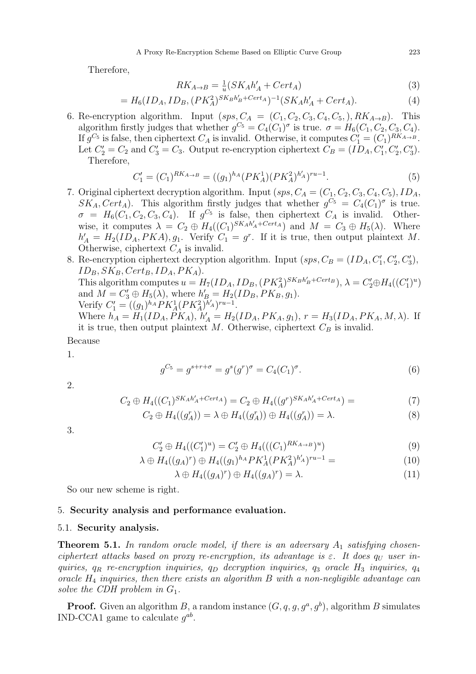Therefore,

$$
RK_{A \to B} = \frac{1}{u}(SK_A h'_A + Cert_A)
$$
\n<sup>(3)</sup>

$$
= H_6(ID_A, ID_B, (PK_A^2)^{SK_Bh'_B + Cert_A})^{-1}(SK_Ah'_A + Cert_A). \tag{4}
$$

6. Re-encryption algorithm. Input  $(sps, C_A = (C_1, C_2, C_3, C_4, C_5), RK_{A\rightarrow B})$ . This algorithm firstly judges that whether  $g^{C_5} = C_4(C_1)^{\sigma}$  is true.  $\sigma = H_6(C_1, C_2, C_3, C_4)$ . If  $g^{C_5}$  is false, then ciphertext  $C_A$  is invalid. Otherwise, it computes  $C'_1 = (C_1)^{RK_{A \to B}}$ . Let  $C_2' = C_2$  and  $C_3' = C_3$ . Output re-encryption ciphertext  $C_B = (ID_A, C_1', C_2', C_3')$ . Therefore,

$$
C_1' = (C_1)^{RK_{A \to B}} = ((g_1)^{h_A}(PK_A^1)(PK_A^2)^{h'_A})^{ru-1}.
$$
\n
$$
(5)
$$

- 7. Original ciphertext decryption algorithm. Input  $(sys, C_A = (C_1, C_2, C_3, C_4, C_5), ID_A,$  $SK_A, Cert_A$ ). This algorithm firstly judges that whether  $g^{C_5} = C_4(C_1)^{\sigma}$  is true.  $\sigma = H_6(C_1, C_2, C_3, C_4)$ . If  $g^{C_5}$  is false, then ciphertext  $C_A$  is invalid. Otherwise, it computes  $\lambda = C_2 \oplus H_4((C_1)^{SK_Ak'_A + Cert_A})$  and  $M = C_3 \oplus H_5(\lambda)$ . Where  $h'_{A} = H_2(ID_A, PKA), g_1$ . Verify  $C_1 = g^r$ . If it is true, then output plaintext M. Otherwise, ciphertext  $C_A$  is invalid.
- 8. Re-encryption ciphertext decryption algorithm. Input  $(sys, C_B = (ID_A, C'_1, C'_2, C'_3)$ ,  $ID_B, SK_B, Cert_B, ID_A, PK_A).$ This algorithm computes  $u = H_7(ID_A, ID_B, (PK_A^2)^{SK_Bh'_B + Cert_B}), \lambda = C'_2 \oplus H_4((C'_1)^u)$ and  $M = C'_3 \oplus H_5(\lambda)$ , where  $h'_B = H_2(ID_B, PK_B, g_1)$ . Verify  $C'_1 = ((g_1)^{h_A} P K_A^1 (P K_A^2)^{h'_A})^{ru-1}.$ Where  $h_A = H_1(ID_A, PK_A), h'_A = H_2(ID_A, PK_A, g_1), r = H_3(ID_A, PK_A, M, \lambda)$ . If it is true, then output plaintext  $M$ . Otherwise, ciphertext  $C_B$  is invalid. Because

1.

$$
g^{C_5} = g^{s+r+\sigma} = g^s(g^r)^\sigma = C_4(C_1)^\sigma.
$$
\n(6)

2.

$$
C_2 \oplus H_4((C_1)^{SK_Ah'_A + Cert_A}) = C_2 \oplus H_4((g^r)^{SK_Ah'_A + Cert_A}) = \tag{7}
$$

$$
C_2 \oplus H_4((g_A^r)) = \lambda \oplus H_4((g_A^r)) \oplus H_4((g_A^r)) = \lambda.
$$
\n(8)

3.

$$
C_2' \oplus H_4((C_1')^u) = C_2' \oplus H_4(((C_1)^{RK_{A \to B}})^u)
$$
\n(9)

$$
\lambda \oplus H_4((g_A)^r) \oplus H_4((g_1)^{h_A} P K_A^1 (P K_A^2)^{h'_A})^{ru-1} = \tag{10}
$$

$$
\lambda \oplus H_4((g_A)^r) \oplus H_4((g_A)^r) = \lambda. \tag{11}
$$

So our new scheme is right.

## 5. Security analysis and performance evaluation.

### 5.1. Security analysis.

**Theorem 5.1.** In random oracle model, if there is an adversary  $A_1$  satisfying chosenciphertext attacks based on proxy re-encryption, its advantage is  $\varepsilon$ . It does  $q_U$  user inquiries,  $q_R$  re-encryption inquiries,  $q_D$  decryption inquiries,  $q_3$  oracle  $H_3$  inquiries,  $q_4$ oracle  $H_4$  inquiries, then there exists an algorithm  $B$  with a non-negligible advantage can solve the CDH problem in  $G_1$ .

**Proof.** Given an algorithm B, a random instance  $(G, q, g, g^a, g^b)$ , algorithm B simulates IND-CCA1 game to calculate  $g^{ab}$ .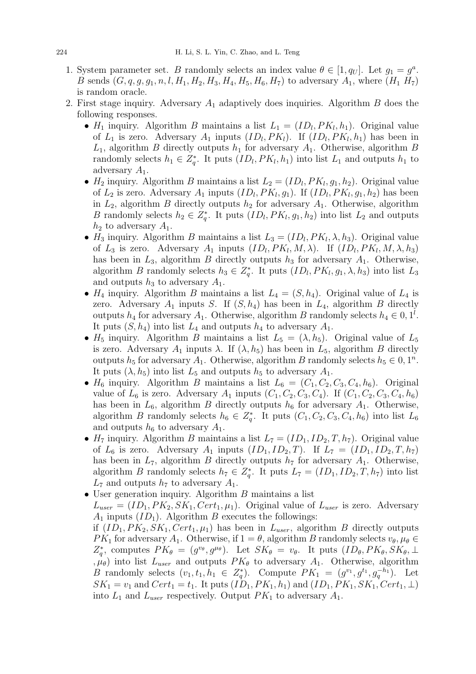- 1. System parameter set. B randomly selects an index value  $\theta \in [1, q_U]$ . Let  $g_1 = g^a$ . B sends  $(G, q, g, g_1, n, l, H_1, H_2, H_3, H_4, H_5, H_6, H_7)$  to adversary  $A_1$ , where  $(H_1 H_7)$ is random oracle.
- 2. First stage inquiry. Adversary  $A_1$  adaptively does inquiries. Algorithm B does the following responses.
	- $H_1$  inquiry. Algorithm B maintains a list  $L_1 = (ID_l, PK_l, h_1)$ . Original value of  $L_1$  is zero. Adversary  $A_1$  inputs  $(ID_l, PK_l)$ . If  $(ID_l, PK_l, h_1)$  has been in  $L_1$ , algorithm B directly outputs  $h_1$  for adversary  $A_1$ . Otherwise, algorithm B randomly selects  $h_1 \in Z_q^*$ . It puts  $(ID_l, PK_l, h_1)$  into list  $L_1$  and outputs  $h_1$  to adversary  $A_1$ .
	- $H_2$  inquiry. Algorithm B maintains a list  $L_2 = (ID_l, PK_l, g_1, h_2)$ . Original value of  $L_2$  is zero. Adversary  $A_1$  inputs  $(ID_l, PK_l, g_1)$ . If  $(ID_l, PK_l, g_1, h_2)$  has been in  $L_2$ , algorithm B directly outputs  $h_2$  for adversary  $A_1$ . Otherwise, algorithm B randomly selects  $h_2 \in Z_q^*$ . It puts  $(ID_l, PK_l, g_1, h_2)$  into list  $L_2$  and outputs  $h_2$  to adversary  $A_1$ .
	- $H_3$  inquiry. Algorithm B maintains a list  $L_3 = (ID_l, PK_l, \lambda, h_3)$ . Original value of  $L_3$  is zero. Adversary  $A_1$  inputs  $(ID_l, PK_l, M, \lambda)$ . If  $(ID_l, PK_l, M, \lambda, h_3)$ has been in  $L_3$ , algorithm B directly outputs  $h_3$  for adversary  $A_1$ . Otherwise, algorithm B randomly selects  $h_3 \in Z_q^*$ . It puts  $(ID_l, PK_l, g_1, \lambda, h_3)$  into list  $L_3$ and outputs  $h_3$  to adversary  $A_1$ .
	- $H_4$  inquiry. Algorithm B maintains a list  $L_4 = (S, h_4)$ . Original value of  $L_4$  is zero. Adversary  $A_1$  inputs S. If  $(S, h_4)$  has been in  $L_4$ , algorithm B directly outputs  $h_4$  for adversary  $A_1$ . Otherwise, algorithm B randomly selects  $h_4 \in 0, 1^l$ . It puts  $(S, h_4)$  into list  $L_4$  and outputs  $h_4$  to adversary  $A_1$ .
	- $H_5$  inquiry. Algorithm B maintains a list  $L_5 = (\lambda, h_5)$ . Original value of  $L_5$ is zero. Adversary  $A_1$  inputs  $\lambda$ . If  $(\lambda, h_5)$  has been in  $L_5$ , algorithm B directly outputs  $h_5$  for adversary  $A_1$ . Otherwise, algorithm B randomly selects  $h_5 \in 0, 1^n$ . It puts  $(\lambda, h_5)$  into list  $L_5$  and outputs  $h_5$  to adversary  $A_1$ .
	- $H_6$  inquiry. Algorithm B maintains a list  $L_6 = (C_1, C_2, C_3, C_4, h_6)$ . Original value of  $L_6$  is zero. Adversary  $A_1$  inputs  $(C_1, C_2, C_3, C_4)$ . If  $(C_1, C_2, C_3, C_4, h_6)$ has been in  $L_6$ , algorithm B directly outputs  $h_6$  for adversary  $A_1$ . Otherwise, algorithm B randomly selects  $h_6 \in Z_q^*$ . It puts  $(C_1, C_2, C_3, C_4, h_6)$  into list  $L_6$ and outputs  $h_6$  to adversary  $A_1$ .
	- $H_7$  inquiry. Algorithm B maintains a list  $L_7 = (ID_1, ID_2, T, h_7)$ . Original value of  $L_6$  is zero. Adversary  $A_1$  inputs  $(ID_1, ID_2, T)$ . If  $L_7 = (ID_1, ID_2, T, h_7)$ has been in  $L_7$ , algorithm B directly outputs  $h_7$  for adversary  $A_1$ . Otherwise, algorithm B randomly selects  $h_7 \in Z_q^*$ . It puts  $L_7 = (ID_1, ID_2, T, h_7)$  into list  $L_7$  and outputs  $h_7$  to adversary  $A_1$ .
	- $\bullet$  User generation inquiry. Algorithm  $B$  maintains a list  $L_{user} = (ID_1, PK_2, SK_1, Cert_1, \mu_1)$ . Original value of  $L_{user}$  is zero. Adversary  $A_1$  inputs  $(ID_1)$ . Algorithm B executes the followings:

if  $(ID_1, PK_2, SK_1, Cert_1, \mu_1)$  has been in  $L_{user}$ , algorithm B directly outputs  $PK_1$  for adversary  $A_1$ . Otherwise, if  $1 = \theta$ , algorithm B randomly selects  $v_{\theta}$ ,  $\mu_{\theta} \in$  $Z_q^*$ , computes  $PK_{\theta} = (g^{v_{\theta}}, g^{\mu_{\theta}})$ . Let  $SK_{\theta} = v_{\theta}$ . It puts  $(ID_{\theta}, PK_{\theta}, SK_{\theta}, \perp)$ ,  $\mu_{\theta}$ ) into list  $L_{user}$  and outputs  $PK_{\theta}$  to adversary  $A_1$ . Otherwise, algorithm *B* randomly selects  $(v_1, t_1, h_1 \in Z_q^*)$ . Compute  $PK_1 = (g^{v_1}, g^{t_1}, g_q^{-h_1})$ . Let  $SK_1 = v_1$  and  $Cert_1 = t_1$ . It puts  $(ID_1, PK_1, h_1)$  and  $(ID_1, PK_1, SK_1, Cert_1, \perp)$ into  $L_1$  and  $L_{user}$  respectively. Output  $PK_1$  to adversary  $A_1$ .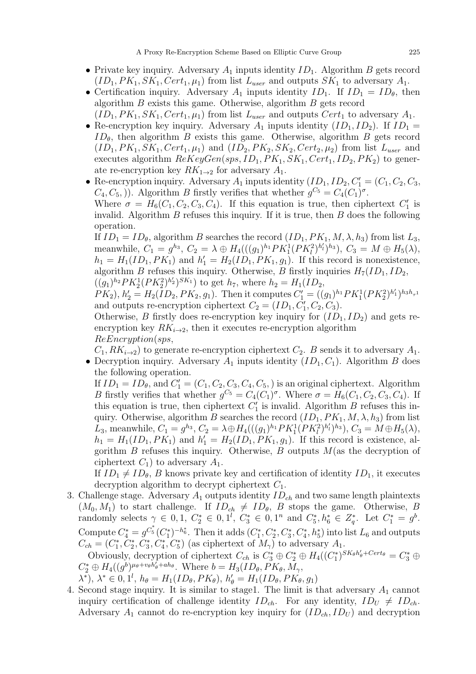- Private key inquiry. Adversary  $A_1$  inputs identity  $ID_1$ . Algorithm B gets record  $(ID_1, PK_1, SK_1, Cert_1, \mu_1)$  from list  $L_{user}$  and outputs  $SK_1$  to adversary  $A_1$ .
- Certification inquiry. Adversary  $A_1$  inputs identity  $ID_1$ . If  $ID_1 = ID_\theta$ , then algorithm B exists this game. Otherwise, algorithm B gets record  $(ID_1, PK_1, SK_1, Cert_1, \mu_1)$  from list  $L_{user}$  and outputs  $Cert_1$  to adversary  $A_1$ .
- Re-encryption key inquiry. Adversary  $A_1$  inputs identity  $(ID_1, ID_2)$ . If  $ID_1 =$  $ID_{\theta}$ , then algorithm B exists this game. Otherwise, algorithm B gets record  $(ID_1, PK_1, SK_1, Cert_1, \mu_1)$  and  $(ID_2, PK_2, SK_2, Cert_2, \mu_2)$  from list  $L_{user}$  and executes algorithm  $ReKeyGen(sys, ID_1, PK_1, SK_1, Cert_1, ID_2, PK_2)$  to generate re-encryption key  $RK_{1\rightarrow 2}$  for adversary  $A_1$ .
- Re-encryption inquiry. Adversary  $A_1$  inputs identity  $(I_{\mathcal{D}_1}, I_{\mathcal{D}_2}, C'_1 = (C_1, C_2, C_3,$  $C_4, C_5$ .). Algorithm B firstly verifies that whether  $g^{C_5} = C_4(C_1)^{\sigma}$ .

Where  $\sigma = H_6(C_1, C_2, C_3, C_4)$ . If this equation is true, then ciphertext  $C'_1$  is invalid. Algorithm  $B$  refuses this inquiry. If it is true, then  $B$  does the following operation.

If  $ID_1 = ID_\theta$ , algorithm B searches the record  $(ID_1, PK_1, M, \lambda, h_3)$  from list  $L_3$ , meanwhile,  $C_1 = g^{h_3}$ ,  $C_2 = \lambda \oplus H_4(((g_1)^{h_1} P K_1^1 (P K_1^2)^{h'_1})^{h_3})$ ,  $C_3 = M \oplus H_5(\lambda)$ ,  $h_1 = H_1(ID_1, PK_1)$  and  $h'_1 = H_2(ID_1, PK_1, g_1)$ . If this record is nonexistence, algorithm B refuses this inquiry. Otherwise, B firstly inquiries  $H_7(ID_1, ID_2,$  $((g_1)^{h_2} P K_2^1 (P K_2^2)^{h'_2})^{SK_1})$  to get  $h_7$ , where  $h_2 = H_1(ID_2,$ 

 $PK_2$ ,  $h'_2 = H_2(ID_2, PK_2, g_1)$ . Then it computes  $C'_1 = ((g_1)^{h_1} PK_1^1 (PK_2^2)^{h'_1})^{h_3 h_{\tau^1}}$ and outputs re-encryption ciphertext  $C_2 = (ID_1, C'_1, C_2, C_3)$ .

Otherwise, B firstly does re-encryption key inquiry for  $(ID_1, ID_2)$  and gets reencryption key  $RK_{i\rightarrow 2}$ , then it executes re-encryption algorithm ReEncryption(sps,

 $C_1, RK_{i\rightarrow 2}$ ) to generate re-encryption ciphertext  $C_2$ . B sends it to adversary  $A_1$ .

• Decryption inquiry. Adversary  $A_1$  inputs identity  $(ID_1, C_1)$ . Algorithm B does the following operation.

If  $ID_1 = ID_\theta$ , and  $C'_1 = (C_1, C_2, C_3, C_4, C_5)$  is an original ciphertext. Algorithm B firstly verifies that whether  $g^{C_5} = C_4(C_1)^{\sigma}$ . Where  $\sigma = H_6(C_1, C_2, C_3, C_4)$ . If this equation is true, then ciphertext  $C'_1$  is invalid. Algorithm B refuses this inquiry. Otherwise, algorithm B searches the record  $(ID_1, PK_1, M, \lambda, h_3)$  from list L<sub>3</sub>, meanwhile,  $C_1 = g^{h_3}$ ,  $C_2 = \lambda \oplus H_4(((g_1)^{h_1} P K_1^1 (P K_l^2)^{h'_1})^{h_3})$ ,  $C_3 = M \oplus H_5(\lambda)$ ,  $h_1 = H_1(ID_1, PK_1)$  and  $h'_1 = H_2(ID_1, PK_1, g_1)$ . If this record is existence, algorithm B refuses this inquiry. Otherwise, B outputs  $M$  (as the decryption of ciphertext  $C_1$ ) to adversary  $A_1$ .

If  $ID_1 \neq ID_\theta$ , B knows private key and certification of identity  $ID_1$ , it executes decryption algorithm to decrypt ciphertext  $C_1$ .

3. Challenge stage. Adversary  $A_1$  outputs identity  $ID_{ch}$  and two same length plaintexts  $(M_0, M_1)$  to start challenge. If  $ID_{ch} \neq ID_{\theta}$ , B stops the game. Otherwise, B randomly selects  $\gamma \in [0, 1, C_2^* \in [0, 1^l, C_3^* \in [0, 1^n, \text{ and } C_5^*, h_6^* \in Z_q^*].$  Let  $C_1^* = g^b$ . Compute  $C_4^* = g^{C_5^*}(C_1^*)^{-h_6^*}$ . Then it adds  $(C_1^*, C_2^*, C_3^*, C_4^*, h_5^*)$  into list  $L_6$  and outputs  $C_{ch} = (C_1^*, C_2^*, C_3^*, C_4^*, C_5^*)$  (as ciphertext of  $M_{\gamma}$ ) to adversary  $A_1$ .

Obviously, decryption of ciphertext  $C_{ch}$  is  $C_3^* \oplus C_2^* \oplus H_4((C_1^*)^{SK_\theta h'_\theta + Cert_\theta} = C_3^* \oplus$  $C_2^* \oplus H_4((g^b)^{\mu_\theta + v_\theta h'_\theta + ah_\theta})$ . Where  $b = H_3(ID_\theta, PK_\theta, M_\gamma)$ 

 $\lambda^*$ ),  $\lambda^* \in [0, 1^l, h_\theta = H_1(ID_\theta, PK_\theta), h'_\theta = H_1(ID_\theta, PK_\theta, g_1)$ 

4. Second stage inquiry. It is similar to stage1. The limit is that adversary  $A_1$  cannot inquiry certification of challenge identity  $ID_{ch}$ . For any identity,  $ID_U \neq ID_{ch}$ . Adversary  $A_1$  cannot do re-encryption key inquiry for  $(ID_{ch}, ID_{U} )$  and decryption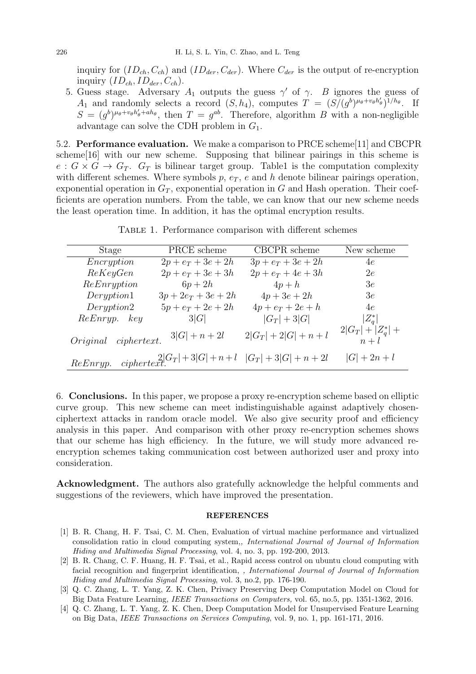inquiry for  $(ID_{ch}, C_{ch})$  and  $(ID_{der}, C_{der})$ . Where  $C_{der}$  is the output of re-encryption inquiry  $(ID_{ch}, ID_{der}, C_{ch}).$ 

5. Guess stage. Adversary  $A_1$  outputs the guess  $\gamma'$  of  $\gamma$ . B ignores the guess of  $A_1$  and randomly selects a record  $(S, h_4)$ , computes  $T = (S/(g^b)^{\mu_\theta + v_\theta h'_\theta})^{1/h_\theta}$ . If  $S = (g^b)^{\mu_{\theta}+v_{\theta}h'_{\theta}+ah_{\theta}},$  then  $T = g^{ab}$ . Therefore, algorithm B with a non-negligible advantage can solve the CDH problem in  $G_1$ .

5.2. Performance evaluation. We make a comparison to PRCE scheme[11] and CBCPR scheme[16] with our new scheme. Supposing that bilinear pairings in this scheme is  $e: G \times G \to G_T$ .  $G_T$  is bilinear target group. Table1 is the computation complexity with different schemes. Where symbols  $p, e_T, e$  and  $h$  denote bilinear pairings operation, exponential operation in  $G_T$ , exponential operation in G and Hash operation. Their coefficients are operation numbers. From the table, we can know that our new scheme needs the least operation time. In addition, it has the optimal encryption results.

TABLE 1. Performance comparison with different schemes

| Stage                | PRCE scheme           | CBCPR scheme                                                   | New scheme                    |
|----------------------|-----------------------|----------------------------------------------------------------|-------------------------------|
| Encryption           | $2p + e_T + 3e + 2h$  | $3p + e_T + 3e + 2h$                                           | 4e                            |
| ReKeyGen             | $2p + e_T + 3e + 3h$  | $2p + e_T + 4e + 3h$                                           | 2e                            |
| ReEnryption          | $6p+2h$               | $4p+h$                                                         | 3e                            |
| Deryption1           | $3p + 2e_T + 3e + 2h$ | $4p + 3e + 2h$                                                 | 3e                            |
| Deryption2           | $5p + e_T + 2e + 2h$  | $4p + e_T + 2e + h$                                            | 4e                            |
| ReEnryp. key         | 3 G                   | $ G_T  + 3 G $                                                 | $ Z_a^* $                     |
| Original ciphertext. | $3 G  + n + 2l$       | $2 G_T  + 2 G  + n + l$                                        | $2 G_T  +  Z_a^*  +$<br>$n+l$ |
| ReEnryp.             |                       | $\frac{2}{C}  G_T  + 3 G  + n + l \quad  G_T  + 3 G  + n + 2l$ | $ G  + 2n + l$                |

6. Conclusions. In this paper, we propose a proxy re-encryption scheme based on elliptic curve group. This new scheme can meet indistinguishable against adaptively chosenciphertext attacks in random oracle model. We also give security proof and efficiency analysis in this paper. And comparison with other proxy re-encryption schemes shows that our scheme has high efficiency. In the future, we will study more advanced reencryption schemes taking communication cost between authorized user and proxy into consideration.

Acknowledgment. The authors also gratefully acknowledge the helpful comments and suggestions of the reviewers, which have improved the presentation.

#### REFERENCES

- [1] B. R. Chang, H. F. Tsai, C. M. Chen, Evaluation of virtual machine performance and virtualized consolidation ratio in cloud computing system,, International Journal of Journal of Information Hiding and Multimedia Signal Processing, vol. 4, no. 3, pp. 192-200, 2013.
- [2] B. R. Chang, C. F. Huang, H. F. Tsai, et al., Rapid access control on ubuntu cloud computing with facial recognition and fingerprint identification, , International Journal of Journal of Information Hiding and Multimedia Signal Processing, vol. 3, no.2, pp. 176-190.
- [3] Q. C. Zhang, L. T. Yang, Z. K. Chen, Privacy Preserving Deep Computation Model on Cloud for Big Data Feature Learning, IEEE Transactions on Computers, vol. 65, no.5, pp. 1351-1362, 2016.
- [4] Q. C. Zhang, L. T. Yang, Z. K. Chen, Deep Computation Model for Unsupervised Feature Learning on Big Data, IEEE Transactions on Services Computing, vol. 9, no. 1, pp. 161-171, 2016.